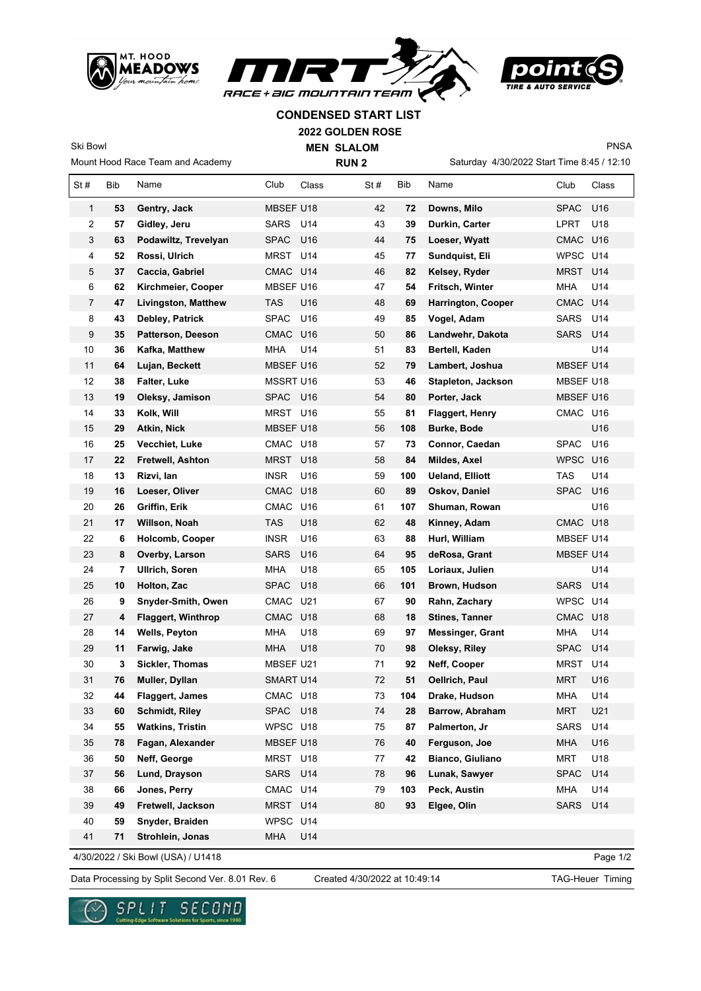





PNSA

**CONDENSED START LIST**

**2022 GOLDEN ROSE**

**MEN SLALOM** 

Mount Hood Race Team and Academy

Ski Bowl

 $\mathbf{r}$ 

**RUN 2**

Saturday 4/30/2022 Start Time 8:45 / 12:10

| St#            | Bib | Name                       | Club             | Class | St# | Bib | Name                      | Club        | Class |
|----------------|-----|----------------------------|------------------|-------|-----|-----|---------------------------|-------------|-------|
| $\mathbf{1}$   | 53  | Gentry, Jack               | MBSEF U18        |       | 42  | 72  | Downs, Milo               | <b>SPAC</b> | U16   |
| 2              | 57  | Gidley, Jeru               | SARS             | U14   | 43  | 39  | Durkin, Carter            | LPRT        | U18   |
| 3              | 63  | Podawiltz, Trevelyan       | <b>SPAC</b>      | U16   | 44  | 75  | Loeser, Wyatt             | CMAC        | U16   |
| 4              | 52  | Rossi, Ulrich              | MRST             | U14   | 45  | 77  | Sundquist, Eli            | WPSC U14    |       |
| 5              | 37  | Caccia, Gabriel            | CMAC             | U14   | 46  | 82  | Kelsey, Ryder             | <b>MRST</b> | U14   |
| 6              | 62  | Kirchmeier, Cooper         | MBSEF U16        |       | 47  | 54  | Fritsch, Winter           | <b>MHA</b>  | U14   |
| $\overline{7}$ | 47  | <b>Livingston, Matthew</b> | <b>TAS</b>       | U16   | 48  | 69  | <b>Harrington, Cooper</b> | CMAC U14    |       |
| 8              | 43  | Debley, Patrick            | <b>SPAC</b>      | U16   | 49  | 85  | Vogel, Adam               | <b>SARS</b> | U14   |
| 9              | 35  | Patterson, Deeson          | CMAC             | U16   | 50  | 86  | Landwehr, Dakota          | <b>SARS</b> | U14   |
| 10             | 36  | Kafka, Matthew             | <b>MHA</b>       | U14   | 51  | 83  | Bertell, Kaden            |             | U14   |
| 11             | 64  | Lujan, Beckett             | MBSEF U16        |       | 52  | 79  | Lambert, Joshua           | MBSEF U14   |       |
| 12             | 38  | Falter, Luke               | <b>MSSRT U16</b> |       | 53  | 46  | Stapleton, Jackson        | MBSEF U18   |       |
| 13             | 19  | Oleksy, Jamison            | <b>SPAC</b>      | U16   | 54  | 80  | Porter, Jack              | MBSEF U16   |       |
| 14             | 33  | Kolk, Will                 | MRST             | U16   | 55  | 81  | Flaggert, Henry           | CMAC U16    |       |
| 15             | 29  | Atkin, Nick                | <b>MBSEF U18</b> |       | 56  | 108 | Burke, Bode               |             | U16   |
| 16             | 25  | Vecchiet, Luke             | CMAC U18         |       | 57  | 73  | Connor, Caedan            | <b>SPAC</b> | U16   |
| 17             | 22  | Fretwell, Ashton           | <b>MRST</b>      | U18   | 58  | 84  | Mildes, Axel              | WPSC U16    |       |
| 18             | 13  | Rizvi, lan                 | <b>INSR</b>      | U16   | 59  | 100 | <b>Ueland, Elliott</b>    | TAS         | U14   |
| 19             | 16  | Loeser, Oliver             | <b>CMAC</b>      | U18   | 60  | 89  | Oskov, Daniel             | <b>SPAC</b> | U16   |
| 20             | 26  | Griffin, Erik              | CMAC             | U16   | 61  | 107 | Shuman, Rowan             |             | U16   |
| 21             | 17  | Willson, Noah              | <b>TAS</b>       | U18   | 62  | 48  | Kinney, Adam              | CMAC U18    |       |
| 22             | 6   | Holcomb, Cooper            | <b>INSR</b>      | U16   | 63  | 88  | Hurl, William             | MBSEF U14   |       |
| 23             | 8   | Overby, Larson             | <b>SARS</b>      | U16   | 64  | 95  | deRosa, Grant             | MBSEF U14   |       |
| 24             | 7   | <b>Ullrich, Soren</b>      | <b>MHA</b>       | U18   | 65  | 105 | Loriaux, Julien           |             | U14   |
| 25             | 10  | Holton, Zac                | <b>SPAC</b>      | U18   | 66  | 101 | Brown, Hudson             | <b>SARS</b> | U14   |
| 26             | 9   | Snyder-Smith, Owen         | CMAC             | U21   | 67  | 90  | Rahn, Zachary             | WPSC U14    |       |
| 27             | 4   | <b>Flaggert, Winthrop</b>  | CMAC             | U18   | 68  | 18  | <b>Stines, Tanner</b>     | CMAC U18    |       |
| 28             | 14  | Wells, Peyton              | <b>MHA</b>       | U18   | 69  | 97  | <b>Messinger, Grant</b>   | <b>MHA</b>  | U14   |
| 29             | 11  | Farwig, Jake               | <b>MHA</b>       | U18   | 70  | 98  | Oleksy, Riley             | <b>SPAC</b> | U14   |
| 30             | 3   | Sickler, Thomas            | MBSEF U21        |       | 71  | 92  | Neff, Cooper              | <b>MRST</b> | U14   |
| 31             | 76  | Muller, Dyllan             | <b>SMART U14</b> |       | 72  | 51  | Oellrich, Paul            | <b>MRT</b>  | U16   |
| 32             | 44  | Flaggert, James            | CMAC U18         |       | 73  | 104 | Drake, Hudson             | <b>MHA</b>  | U14   |
| 33             | 60  | <b>Schmidt, Riley</b>      | SPAC             | U18   | 74  | 28  | Barrow, Abraham           | <b>MRT</b>  | U21   |
| 34             | 55  | <b>Watkins, Tristin</b>    | WPSC U18         |       | 75  | 87  | Palmerton, Jr             | <b>SARS</b> | U14   |
| 35             | 78  | Fagan, Alexander           | MBSEF U18        |       | 76  | 40  | Ferguson, Joe             | <b>MHA</b>  | U16   |
| 36             | 50  | Neff, George               | MRST U18         |       | 77  | 42  | Bianco, Giuliano          | <b>MRT</b>  | U18   |
| 37             | 56  | Lund, Drayson              | SARS             | U14   | 78  | 96  | Lunak, Sawyer             | <b>SPAC</b> | U14   |
| 38             | 66  | Jones, Perry               | CMAC U14         |       | 79  | 103 | Peck, Austin              | <b>MHA</b>  | U14   |
| 39             | 49  | Fretwell, Jackson          | MRST             | U14   | 80  | 93  | Elgee, Olin               | <b>SARS</b> | U14   |
| 40             | 59  | Snyder, Braiden            | WPSC             | U14   |     |     |                           |             |       |
| 41             | 71  | Strohlein, Jonas           | <b>MHA</b>       | U14   |     |     |                           |             |       |

4/30/2022 / Ski Bowl (USA) / U1418

Page 1/2

Data Processing by Split Second Ver. 8.01 Rev. 6 Created 4/30/2022 at 10:49:14 TAG-Heuer Timing

Created 4/30/2022 at 10:49:14